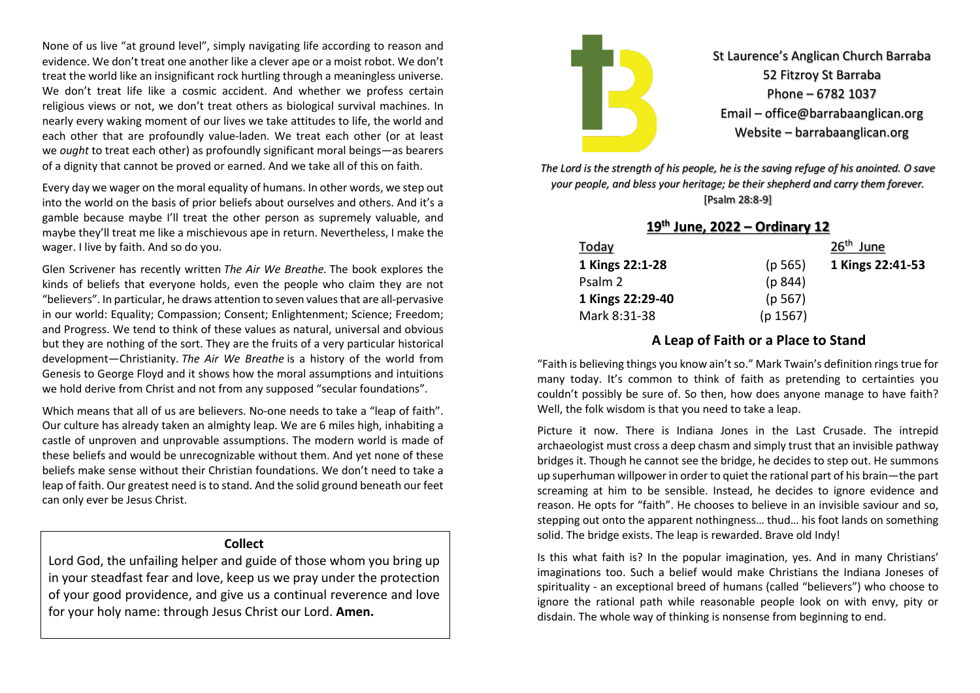None of us live "at ground level", simply navigating life according to reason and evidence. We don't treat one another like a clever ape or a moist robot. We don't treat the world like an insignificant rock hurtling through a meaningless universe. We don't treat life like a cosmic accident. And whether we profess certain religious views or not, we don't treat others as biological survival machines. In nearly every waking moment of our lives we take attitudes to life, the world and each other that are profoundly value-laden. We treat each other (or at least we *ought* to treat each other) as profoundly significant moral beings—as bearers of a dignity that cannot be proved or earned. And we take all of this on faith.

Every day we wager on the moral equality of humans. In other words, we step out into the world on the basis of prior beliefs about ourselves and others. And it's a gamble because maybe I'll treat the other person as supremely valuable, and maybe they'll treat me like a mischievous ape in return. Nevertheless, I make the wager. I live by faith. And so do you.

Glen Scrivener has recently written *The Air We Breathe.* The book explores the kinds of beliefs that everyone holds, even the people who claim they are not "believers". In particular, he draws attention to seven values that are all-pervasive in our world: Equality; Compassion; Consent; Enlightenment; Science; Freedom; and Progress. We tend to think of these values as natural, universal and obvious but they are nothing of the sort. They are the fruits of a very particular historical development—Christianity. *The Air We Breathe* is a history of the world from Genesis to George Floyd and it shows how the moral assumptions and intuitions we hold derive from Christ and not from any supposed "secular foundations".

Which means that all of us are believers. No-one needs to take a "leap of faith". Our culture has already taken an almighty leap. We are 6 miles high, inhabiting a castle of unproven and unprovable assumptions. The modern world is made of these beliefs and would be unrecognizable without them. And yet none of these beliefs make sense without their Christian foundations. We don't need to take a leap of faith. Our greatest need is to stand. And the solid ground beneath our feet can only ever be Jesus Christ.

#### **Collect**

Lord God, the unfailing helper and guide of those whom you bring up in your steadfast fear and love, keep us we pray under the protection of your good providence, and give us a continual reverence and love for your holy name: through Jesus Christ our Lord. **Amen.**



St Laurence's Anglican Church Barraba 52 Fitzroy St Barraba Phone – 6782 1037 Email – office@barrabaanglican.org Website – barrabaanglican.org

*The Lord is the strength of his people, he is the saving refuge of his anointed. O save your people, and bless your heritage; be their shepherd and carry them forever.*  [Psalm 28:8-9]

| $19th$ June, 2022 – Ordinary 12 |          |                       |  |
|---------------------------------|----------|-----------------------|--|
| Today                           |          | 26 <sup>th</sup> June |  |
| 1 Kings 22:1-28                 | (p 565)  | 1 Kings 22:41-53      |  |
| Psalm 2                         | (p 844)  |                       |  |
| 1 Kings 22:29-40                | (p 567)  |                       |  |
| Mark 8:31-38                    | (p 1567) |                       |  |

### **A Leap of Faith or a Place to Stand**

"Faith is believing things you know ain'tso." Mark Twain's definition rings true for many today. It's common to think of faith as pretending to certainties you couldn't possibly be sure of. So then, how does anyone manage to have faith? Well, the folk wisdom is that you need to take a leap.

Picture it now. There is Indiana Jones in the Last Crusade. The intrepid archaeologist must cross a deep chasm and simply trust that an invisible pathway bridges it. Though he cannot see the bridge, he decides to step out. He summons up superhuman willpower in order to quiet the rational part of his brain—the part screaming at him to be sensible. Instead, he decides to ignore evidence and reason. He opts for "faith". He chooses to believe in an invisible saviour and so, stepping out onto the apparent nothingness… thud… his foot lands on something solid. The bridge exists. The leap is rewarded. Brave old Indy!

Is this what faith is? In the popular imagination, yes. And in many Christians' imaginations too. Such a belief would make Christians the Indiana Joneses of spirituality - an exceptional breed of humans (called "believers") who choose to ignore the rational path while reasonable people look on with envy, pity or disdain. The whole way of thinking is nonsense from beginning to end.